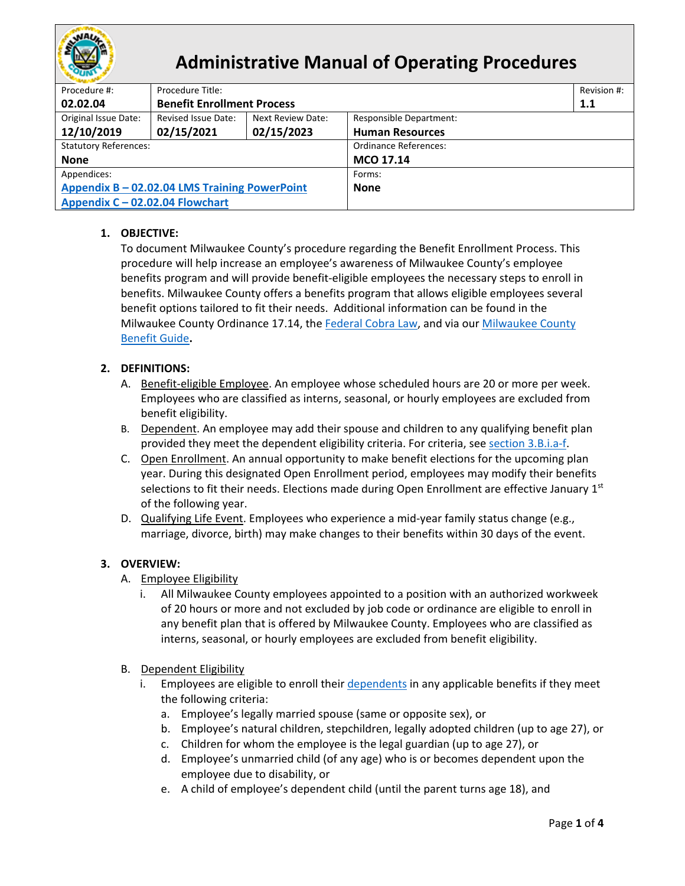

# **Administrative Manual of Operating Procedures**

| Procedure #:                                  | Procedure Title:                  |                   |                                | Revision #: |  |  |  |
|-----------------------------------------------|-----------------------------------|-------------------|--------------------------------|-------------|--|--|--|
| 02.02.04                                      | <b>Benefit Enrollment Process</b> |                   |                                | 1.1         |  |  |  |
| Original Issue Date:                          | Revised Issue Date:               | Next Review Date: | <b>Responsible Department:</b> |             |  |  |  |
| 12/10/2019                                    | 02/15/2021                        | 02/15/2023        | <b>Human Resources</b>         |             |  |  |  |
| <b>Statutory References:</b>                  |                                   |                   | Ordinance References:          |             |  |  |  |
| <b>None</b>                                   |                                   |                   | MCO 17.14                      |             |  |  |  |
| Appendices:                                   |                                   |                   | Forms:                         |             |  |  |  |
| Appendix B - 02.02.04 LMS Training PowerPoint |                                   |                   | <b>None</b>                    |             |  |  |  |
| Appendix C - 02.02.04 Flowchart               |                                   |                   |                                |             |  |  |  |

## **1. OBJECTIVE:**

To document Milwaukee County's procedure regarding the Benefit Enrollment Process. This procedure will help increase an employee's awareness of Milwaukee County's employee benefits program and will provide benefit-eligible employees the necessary steps to enroll in benefits. Milwaukee County offers a benefits program that allows eligible employees several benefit options tailored to fit their needs. Additional information can be found in the Milwaukee County Ordinance 17.14, the [Federal Cobra Law,](https://www.dol.gov/general/topic/health-plans/cobra) and via our [Milwaukee County](https://countyconnect.milwaukeecountywi.gov/files/county/human-resources/Benefits/2020BenefitsBookletFINALFORWEB120619002.pdf)  [Benefit Guide](https://countyconnect.milwaukeecountywi.gov/files/county/human-resources/Benefits/2020BenefitsBookletFINALFORWEB120619002.pdf)**.** 

## **2. DEFINITIONS:**

- A. Benefit-eligible Employee. An employee whose scheduled hours are 20 or more per week. Employees who are classified as interns, seasonal, or hourly employees are excluded from benefit eligibility.
- <span id="page-0-1"></span>B. Dependent. An employee may add their spouse and children to any qualifying benefit plan provided they meet the dependent eligibility criteria. For criteria, see [section 3.B.i.a-f.](#page-0-0)
- <span id="page-0-2"></span>C. Open Enrollment. An annual opportunity to make benefit elections for the upcoming plan year. During this designated Open Enrollment period, employees may modify their benefits selections to fit their needs. Elections made during Open Enrollment are effective January  $1<sup>st</sup>$ of the following year.
- <span id="page-0-3"></span>D. Qualifying Life Event. Employees who experience a mid-year family status change (e.g., marriage, divorce, birth) may make changes to their benefits within 30 days of the event.

### **3. OVERVIEW:**

- A. Employee Eligibility
	- i. All Milwaukee County employees appointed to a position with an authorized workweek of 20 hours or more and not excluded by job code or ordinance are eligible to enroll in any benefit plan that is offered by Milwaukee County. Employees who are classified as interns, seasonal, or hourly employees are excluded from benefit eligibility.
- <span id="page-0-0"></span>B. Dependent Eligibility
	- i. Employees are eligible to enroll thei[r dependents](#page-0-1) in any applicable benefits if they meet the following criteria:
		- a. Employee's legally married spouse (same or opposite sex), or
		- b. Employee's natural children, stepchildren, legally adopted children (up to age 27), or
		- c. Children for whom the employee is the legal guardian (up to age 27), or
		- d. Employee's unmarried child (of any age) who is or becomes dependent upon the employee due to disability, or
		- e. A child of employee's dependent child (until the parent turns age 18), and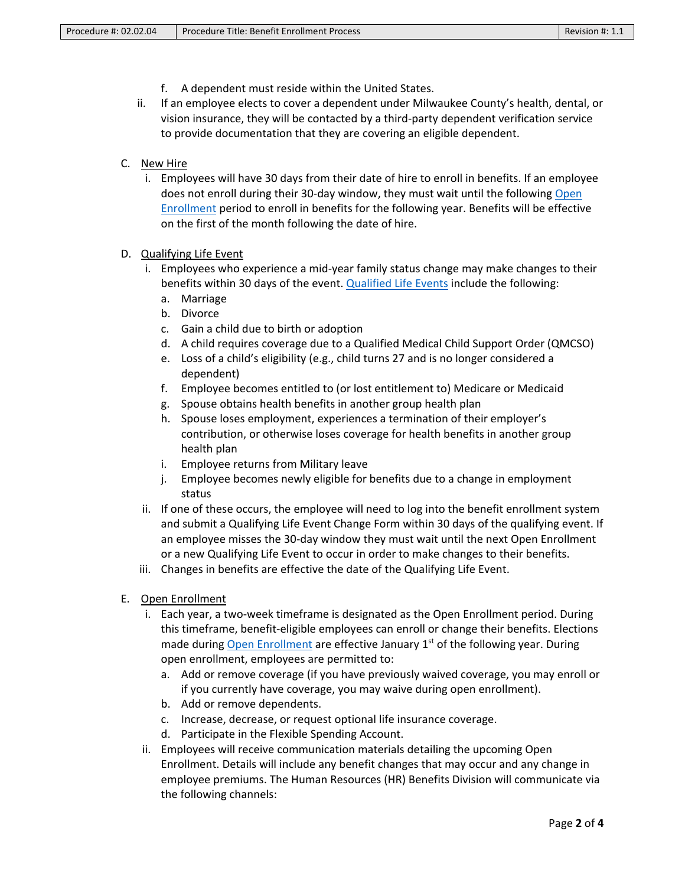- f. A dependent must reside within the United States.
- ii. If an employee elects to cover a dependent under Milwaukee County's health, dental, or vision insurance, they will be contacted by a third-party dependent verification service to provide documentation that they are covering an eligible dependent.
- C. New Hire
	- i. Employees will have 30 days from their date of hire to enroll in benefits. If an employee does not enroll during their 30-day window, they must wait until the following [Open](#page-0-2)  [Enrollment](#page-0-2) period to enroll in benefits for the following year. Benefits will be effective on the first of the month following the date of hire.

#### D. Qualifying Life Event

- i. Employees who experience a mid-year family status change may make changes to their benefits within 30 days of the event[. Qualified Life Events](#page-0-3) include the following:
	- a. Marriage
	- b. Divorce
	- c. Gain a child due to birth or adoption
	- d. A child requires coverage due to a Qualified Medical Child Support Order (QMCSO)
	- e. Loss of a child's eligibility (e.g., child turns 27 and is no longer considered a dependent)
	- f. Employee becomes entitled to (or lost entitlement to) Medicare or Medicaid
	- g. Spouse obtains health benefits in another group health plan
	- h. Spouse loses employment, experiences a termination of their employer's contribution, or otherwise loses coverage for health benefits in another group health plan
	- i. Employee returns from Military leave
	- j. Employee becomes newly eligible for benefits due to a change in employment status
- ii. If one of these occurs, the employee will need to log into the benefit enrollment system and submit a Qualifying Life Event Change Form within 30 days of the qualifying event. If an employee misses the 30-day window they must wait until the next Open Enrollment or a new Qualifying Life Event to occur in order to make changes to their benefits.
- iii. Changes in benefits are effective the date of the Qualifying Life Event.
- E. Open Enrollment
	- i. Each year, a two-week timeframe is designated as the Open Enrollment period. During this timeframe, benefit-eligible employees can enroll or change their benefits. Elections made during [Open Enrollment](#page-0-2) are effective January  $1<sup>st</sup>$  of the following year. During open enrollment, employees are permitted to:
		- a. Add or remove coverage (if you have previously waived coverage, you may enroll or if you currently have coverage, you may waive during open enrollment).
		- b. Add or remove dependents.
		- c. Increase, decrease, or request optional life insurance coverage.
		- d. Participate in the Flexible Spending Account.
	- ii. Employees will receive communication materials detailing the upcoming Open Enrollment. Details will include any benefit changes that may occur and any change in employee premiums. The Human Resources (HR) Benefits Division will communicate via the following channels: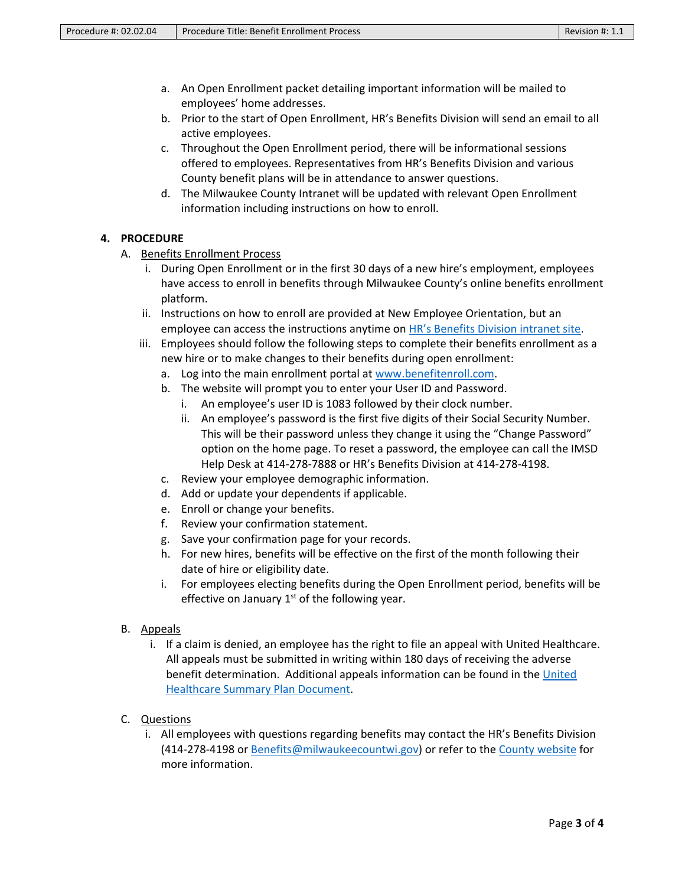- a. An Open Enrollment packet detailing important information will be mailed to employees' home addresses.
- b. Prior to the start of Open Enrollment, HR's Benefits Division will send an email to all active employees.
- c. Throughout the Open Enrollment period, there will be informational sessions offered to employees. Representatives from HR's Benefits Division and various County benefit plans will be in attendance to answer questions.
- d. The Milwaukee County Intranet will be updated with relevant Open Enrollment information including instructions on how to enroll.

### **4. PROCEDURE**

- A. Benefits Enrollment Process
	- i. During Open Enrollment or in the first 30 days of a new hire's employment, employees have access to enroll in benefits through Milwaukee County's online benefits enrollment platform.
	- ii. Instructions on how to enroll are provided at New Employee Orientation, but an employee can access the instructions anytime on HR's [Benefits Division intranet site.](https://countyconnect.milwaukeecountywi.gov/MCINT/Human-Resources/Benefits--Wellness)
	- iii. Employees should follow the following steps to complete their benefits enrollment as a new hire or to make changes to their benefits during open enrollment:
		- a. Log into the main enrollment portal a[t www.benefitenroll.com.](http://www.benefitenroll.com/)
		- b. The website will prompt you to enter your User ID and Password.
			- i. An employee's user ID is 1083 followed by their clock number.
			- ii. An employee's password is the first five digits of their Social Security Number. This will be their password unless they change it using the "Change Password" option on the home page. To reset a password, the employee can call the IMSD Help Desk at 414-278-7888 or HR's Benefits Division at 414-278-4198.
		- c. Review your employee demographic information.
		- d. Add or update your dependents if applicable.
		- e. Enroll or change your benefits.
		- f. Review your confirmation statement.
		- g. Save your confirmation page for your records.
		- h. For new hires, benefits will be effective on the first of the month following their date of hire or eligibility date.
		- i. For employees electing benefits during the Open Enrollment period, benefits will be effective on January  $1<sup>st</sup>$  of the following year.
- B. Appeals
	- i. If a claim is denied, an employee has the right to file an appeal with United Healthcare. All appeals must be submitted in writing within 180 days of receiving the adverse benefit determination. Additional appeals information can be found in the [United](https://countyconnect.milwaukeecountywi.gov/ImageLibrary/Groups/cntyHR/Benefits/2018-Benefits/2018SPDMilwaukeeCountyChoicePlusActive.pdf)  [Healthcare Summary Plan Document.](https://countyconnect.milwaukeecountywi.gov/ImageLibrary/Groups/cntyHR/Benefits/2018-Benefits/2018SPDMilwaukeeCountyChoicePlusActive.pdf)
- C. Questions
	- i. All employees with questions regarding benefits may contact the HR's Benefits Division (414-278-4198 or [Benefits@milwaukeecountwi.gov\)](mailto:Benefits@milwaukeecountwi.gov) or refer to the [County website](https://countyconnect.milwaukeecountywi.gov/MCINT/Human-Resources/Benefits--Wellness) for more information.